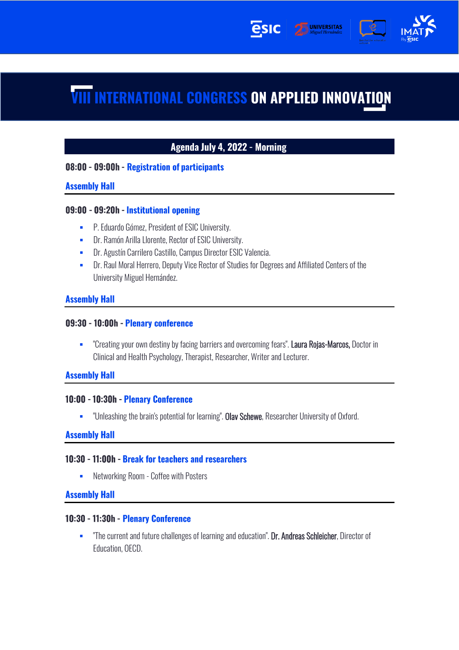

**UNIVERSITAS** 

## Agenda July 4, 2022 - Morning

### 08:00 - 09:00h - Registration of participants

#### **Assembly Hall**

#### 09:00 - 09:20h - Institutional opening

- **P. Eduardo Gómez, President of ESIC University.**
- **EXECT:** Dr. Ramón Arilla Llorente, Rector of ESIC University.
- **Dr. Agustín Carrilero Castillo, Campus Director ESIC Valencia.**
- **EXECT** Dr. Raul Moral Herrero, Deputy Vice Rector of Studies for Degrees and Affiliated Centers of the University Miguel Hernández.

#### **Assembly Hall**

#### 09:30 - 10:00h - Plenary conference

**•** "Creating your own destiny by facing barriers and overcoming fears". Laura Rojas-Marcos, Doctor in Clinical and Health Psychology, Therapist, Researcher, Writer and Lecturer.

#### **Assembly Hall**

#### 10:00 - 10:30h - Plenary Conference

**EXECT** "Unleashing the brain's potential for learning". Olav Schewe, Researcher University of Oxford.

#### **Assembly Hall**

#### 10:30 - 11:00h - Break for teachers and researchers

**EXECUTE:** Networking Room - Coffee with Posters

#### **Assembly Hall**

#### 10:30 - 11:30h - Plenary Conference

**•** "The current and future challenges of learning and education". Dr. Andreas Schleicher, Director of Education, OECD.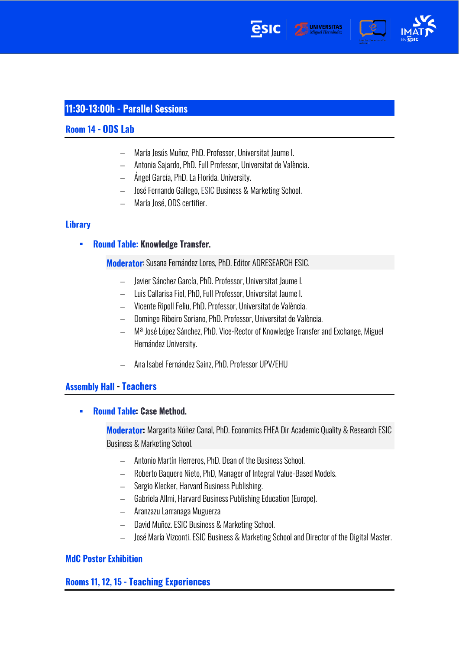





# 11:30-13:00h - Parallel Sessions

### Room 14 - ODS Lab

- − María Jesús Muñoz, PhD. Professor, Universitat Jaume I.
- − Antonia Sajardo, PhD. Full Professor, Universitat de València.
- − Ángel García, PhD. La Florida. University.
- − José Fernando Gallego, ESIC Business & Marketing School.
- − María José, ODS certifier.

#### **Library**

**Round Table: Knowledge Transfer.** ▪

### Moderator: Susana Fernández Lores, PhD. Editor ADRESEARCH ESIC.

- − Javier Sánchez García, PhD. Professor, Universitat Jaume I.
- − Luis Callarisa Fiol, PhD, Full Professor, Universitat Jaume I.
- − Vicente Ripoll Feliu, PhD. Professor, Universitat de València.
- − Domingo Ribeiro Soriano, PhD. Professor, Universitat de València.
- − Mª José López Sánchez, PhD. Vice-Rector of Knowledge Transfer and Exchange, Miguel Hernández University.
- − Ana Isabel Fernández Sainz, PhD. Professor UPV/EHU

### **Assembly Hall - Teachers**

**Round Table: Case Method.** ▪

> **Moderator:** Margarita Núñez Canal, PhD. Economics FHEA Dir Academic Quality & Research ESIC Business & Marketing School.

- − Antonio Martín Herreros, PhD. Dean of the Business School.
- − Roberto Baquero Nieto, PhD, Manager of Integral Value-Based Models.
- − Sergio Klecker, Harvard Business Publishing.
- − Gabriela Allmi, Harvard Business Publishing Education (Europe).
- − Aranzazu Larranaga Muguerza
- − David Muñoz. ESIC Business & Marketing School.
- − José María Vizconti. ESIC Business & Marketing School and Director of the Digital Master.

### **MdC Poster Exhibition**

### Rooms 11, 12, 15 - Teaching Experiences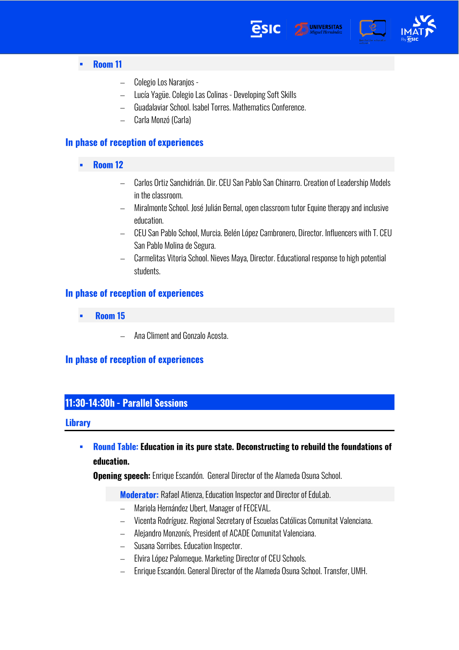



- Room 11 ▪
	- − Colegio Los Naranjos -
	- − Lucía Yagüe. Colegio Las Colinas Developing Soft Skills
	- − Guadalaviar School. Isabel Torres. Mathematics Conference.
	- − Carla Monzó (Carla)

## In phase of reception of experiences

- **Room 12** ▪
	- − Carlos Ortiz Sanchidrián. Dir. CEU San Pablo San Chinarro. Creation of Leadership Models in the classroom.
	- − Miralmonte School. José Julián Bernal, open classroom tutor Equine therapy and inclusive education.
	- − CEU San Pablo School, Murcia. Belén López Cambronero, Director. Influencers with T. CEU San Pablo Molina de Segura.
	- − Carmelitas Vitoria School. Nieves Maya, Director. Educational response to high potential students.

### In phase of reception of experiences

- Room 15 ▪
	- − Ana Climent and Gonzalo Acosta.

### In phase of reception of experiences

# 11:30-14:30h - Parallel Sessions

#### **Library**

**Round Table: Education in its pure state. Deconstructing to rebuild the foundations of** ▪ education.

**Opening speech:** Enrique Escandón. General Director of the Alameda Osuna School.

**Moderator:** Rafael Atienza, Education Inspector and Director of EduLab.

- − Mariola Hernández Ubert, Manager of FECEVAL.
- − Vicenta Rodríguez. Regional Secretary of Escuelas Católicas Comunitat Valenciana.
- − Alejandro Monzonís, President of ACADE Comunitat Valenciana.
- − Susana Sorribes. Education Inspector.
- − Elvira López Palomeque. Marketing Director of CEU Schools.
- − Enrique Escandón. General Director of the Alameda Osuna School. Transfer, UMH.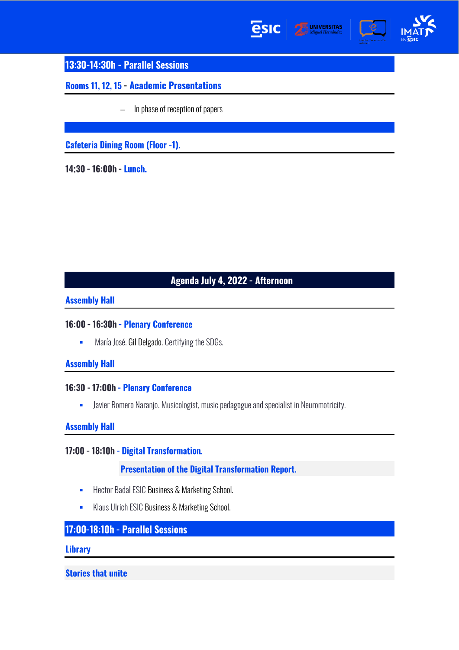





13:30-14:30h - Parallel Sessions

Rooms 11, 12, 15 - Academic Presentations

− In phase of reception of papers

**Cafeteria Dining Room (Floor -1).** 

14;30 - 16:00h - Lunch.

# Agenda July 4, 2022 - Afternoon

### **Assembly Hall**

## 16:00 - 16:30h - Plenary Conference

**■** María José. Gil Delgado. Certifying the SDGs.

## **Assembly Hall**

### 16:30 - 17:00h - Plenary Conference

**•** Javier Romero Naranjo. Musicologist, music pedagogue and specialist in Neuromotricity.

# **Assembly Hall**

# 17:00 - 18:10h - Digital Transformation.

### **Presentation of the Digital Transformation Report.**

- **EXECTE:** Hector Badal ESIC Business & Marketing School.
- **E** Klaus Ulrich ESIC Business & Marketing School.

# 17:00-18:10h - Parallel Sessions

#### **Library**

**Stories that unite**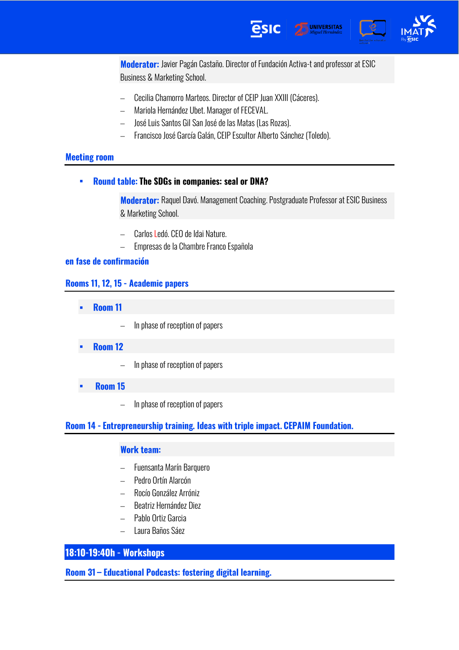

Moderator: Javier Pagán Castaño. Director of Fundación Activa-t and professor at ESIC Business & Marketing School.

- − Cecilia Chamorro Marteos. Director of CEIP Juan XXIII (Cáceres).
- − Mariola Hernández Ubet. Manager of FECEVAL.
- − José Luis Santos Gil San José de las Matas (Las Rozas).
- − Francisco José García Galán, CEIP Escultor Alberto Sánchez (Toledo).

#### **Meeting room**

**Round table: The SDGs in companies: seal or DNA?** ▪

> Moderator: Raquel Davó. Management Coaching. Postgraduate Professor at ESIC Business & Marketing School.

- − Carlos Ledó. CEO de Idai Nature.
- − Empresas de la Chambre Franco Española

#### en fase de confirmación

### Rooms 11, 12, 15 - Academic papers

- Room 11 ▪
	- − In phase of reception of papers
- **Room 12** ▪
	- − In phase of reception of papers
- Room 15 ▪
	- − In phase of reception of papers

#### Room 14 - Entrepreneurship training. Ideas with triple impact. CEPAIM Foundation.

#### **Work team:**

- − Fuensanta Marín Barquero
- − Pedro Ortín Alarcón
- − Rocío González Arróniz
- − Beatriz Hernández Diez
- − Pablo Ortiz Garcia
- − Laura Baños Sáez

### 18:10-19:40h - Workshops

Room 31 – Educational Podcasts: fostering digital learning.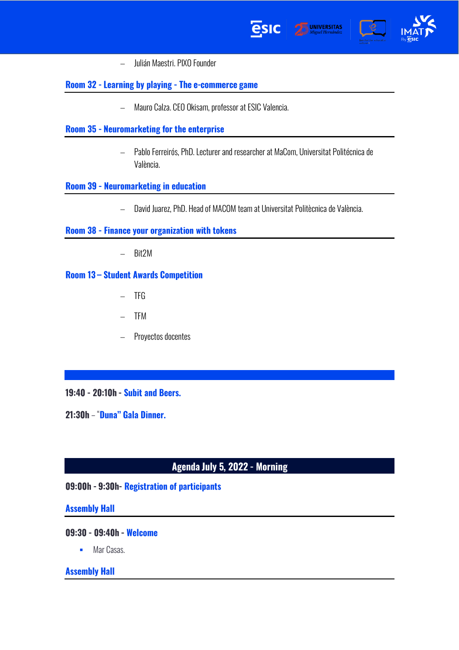



− Julián Maestri. PIXO Founder

## Room 32 - Learning by playing - The e-commerce game

− Mauro Calza. CEO Okisam, professor at ESIC Valencia.

### Room 35 - Neuromarketing for the enterprise

− Pablo Ferreirós, PhD. Lecturer and researcher at MaCom, Universitat Politécnica de València.

esic

#### Room 39 - Neuromarketing in education

− David Juarez, PhD. Head of MACOM team at Universitat Politècnica de València.

#### Room 38 - Finance your organization with tokens

− Bit2M

### Room 13 - Student Awards Competition

- − TFG
- − TFM
- − Proyectos docentes

#### 19:40 - 20:10h - Subit and Beers.

21:30h - "Duna" Gala Dinner.

## Agenda July 5, 2022 - Morning

### 09:00h - 9:30h - Registration of participants

#### **Assembly Hall**

#### 09:30 - 09:40h - Welcome

■ Mar Casas.

#### **Assembly Hall**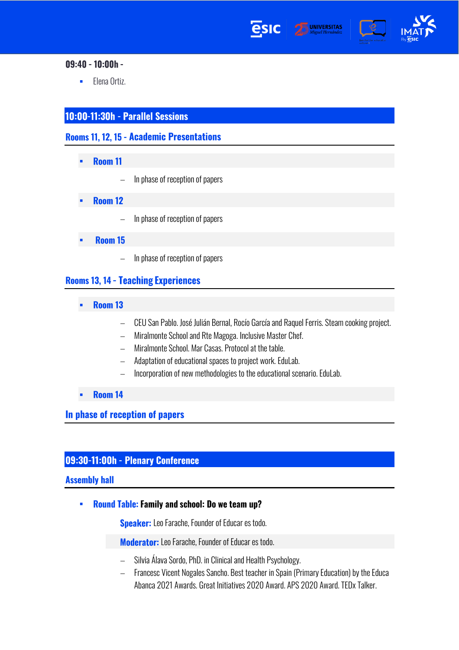







### 09:40 - 10:00h -

■ Elena Ortiz.

# 10:00-11:30h - Parallel Sessions

Rooms 11, 12, 15 - Academic Presentations

- Room 11 ▪
	- − In phase of reception of papers
- **Room 12** ▪
	- − In phase of reception of papers
- Room 15
	- − In phase of reception of papers

## **Rooms 13, 14 - Teaching Experiences**

- Room 13 ▪
	- − CEU San Pablo. José Julián Bernal, Rocío García and Raquel Ferris. Steam cooking project.
	- − Miralmonte School and Rte Magoga. Inclusive Master Chef.
	- − Miralmonte School. Mar Casas. Protocol at the table.
	- − Adaptation of educational spaces to project work. EduLab.
	- − Incorporation of new methodologies to the educational scenario. EduLab.
- Room 14 ▪

In phase of reception of papers

# 09:30-11:00h - Plenary Conference

#### **Assembly hall**

Round Table: Family and school: Do we team up? ▪

**Speaker:** Leo Farache, Founder of Educar es todo.

**Moderator:** Leo Farache, Founder of Educar es todo.

- Silvia Álava Sordo, PhD. in Clinical and Health Psychology.
- − Francesc Vicent Nogales Sancho. Best teacher in Spain (Primary Education) by the Educa Abanca 2021 Awards. Great Initiatives 2020 Award. APS 2020 Award. TEDx Talker.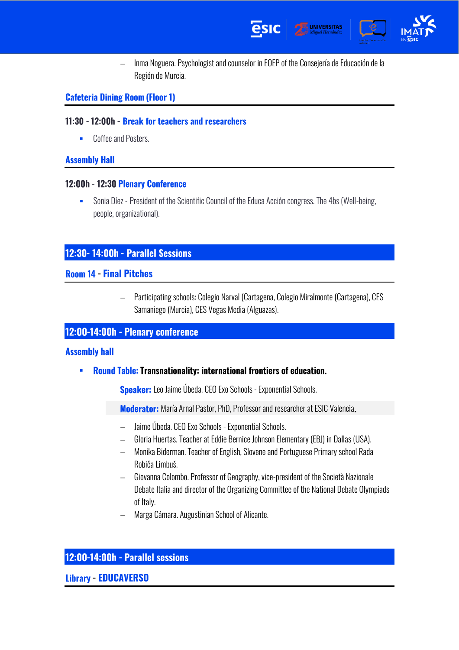



− Inma Noguera. Psychologist and counselor in EOEP of the Consejería de Educación de la Región de Murcia.

# **Cafeteria Dining Room (Floor 1)**

# 11:30 - 12:00h - Break for teachers and researchers

■ Coffee and Posters.

# **Assembly Hall**

# 12:00h - 12:30 Plenary Conference

**EXECT** Sonia Díez - President of the Scientific Council of the Educa Acción congress. The 4bs (Well-being, people, organizational).

# 12:30-14:00h - Parallel Sessions

# **Room 14 - Final Pitches**

− Participating schools: Colegio Narval (Cartagena, Colegio Miralmonte (Cartagena), CES Samaniego (Murcia), CES Vegas Media (Alguazas).

# 12:00-14:00h - Plenary conference

## **Assembly hall**

**Round Table: Transnationality: international frontiers of education.** ▪

Speaker: Leo Jaime Úbeda. CEO Exo Schools - Exponential Schools.

Moderator: María Arnal Pastor, PhD, Professor and researcher at ESIC Valencia.

- − Jaime Úbeda. CEO Exo Schools -Exponential Schools.
- − Gloria Huertas. Teacher at Eddie Bernice Johnson Elementary (EBJ) in Dallas (USA).
- − Monika Biderman. Teacher of English, Slovene and Portuguese Primary school Rada Robiča Limbuš.
- − Giovanna Colombo. Professor of Geography, vice-president of the Società Nazionale Debate Italia and director of the Organizing Committee of the National Debate Olympiads of Italy.
- − Marga Cámara. Augustinian School of Alicante.

# 12:00-14:00h - Parallel sessions

**Library - EDUCAVERSO**